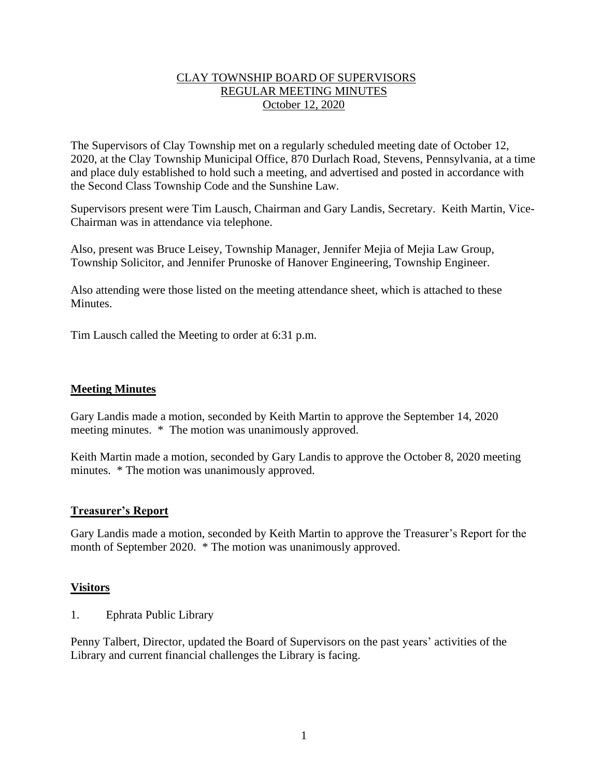## CLAY TOWNSHIP BOARD OF SUPERVISORS REGULAR MEETING MINUTES October 12, 2020

The Supervisors of Clay Township met on a regularly scheduled meeting date of October 12, 2020, at the Clay Township Municipal Office, 870 Durlach Road, Stevens, Pennsylvania, at a time and place duly established to hold such a meeting, and advertised and posted in accordance with the Second Class Township Code and the Sunshine Law.

Supervisors present were Tim Lausch, Chairman and Gary Landis, Secretary. Keith Martin, Vice-Chairman was in attendance via telephone.

Also, present was Bruce Leisey, Township Manager, Jennifer Mejia of Mejia Law Group, Township Solicitor, and Jennifer Prunoske of Hanover Engineering, Township Engineer.

Also attending were those listed on the meeting attendance sheet, which is attached to these Minutes.

Tim Lausch called the Meeting to order at 6:31 p.m.

## **Meeting Minutes**

Gary Landis made a motion, seconded by Keith Martin to approve the September 14, 2020 meeting minutes. \* The motion was unanimously approved.

Keith Martin made a motion, seconded by Gary Landis to approve the October 8, 2020 meeting minutes. \* The motion was unanimously approved.

## **Treasurer's Report**

Gary Landis made a motion, seconded by Keith Martin to approve the Treasurer's Report for the month of September 2020. \* The motion was unanimously approved.

## **Visitors**

1. Ephrata Public Library

Penny Talbert, Director, updated the Board of Supervisors on the past years' activities of the Library and current financial challenges the Library is facing.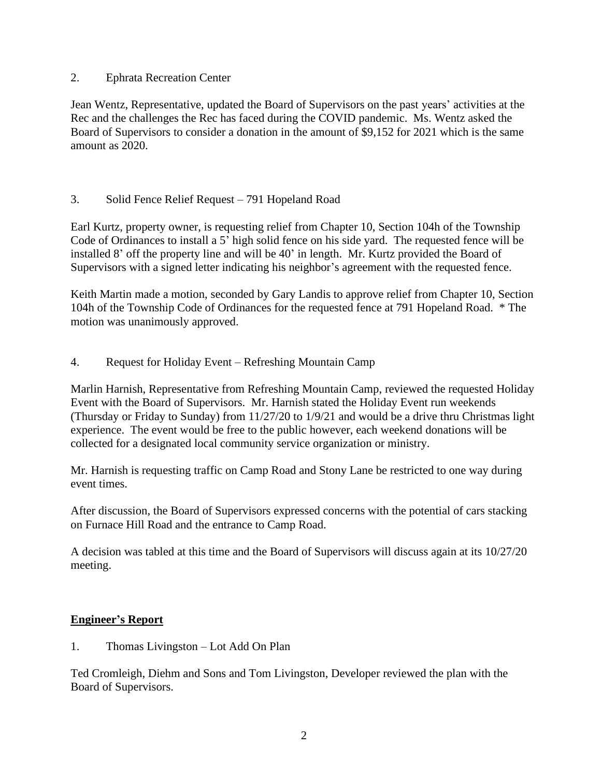## 2. Ephrata Recreation Center

Jean Wentz, Representative, updated the Board of Supervisors on the past years' activities at the Rec and the challenges the Rec has faced during the COVID pandemic. Ms. Wentz asked the Board of Supervisors to consider a donation in the amount of \$9,152 for 2021 which is the same amount as 2020.

# 3. Solid Fence Relief Request – 791 Hopeland Road

Earl Kurtz, property owner, is requesting relief from Chapter 10, Section 104h of the Township Code of Ordinances to install a 5' high solid fence on his side yard. The requested fence will be installed 8' off the property line and will be 40' in length. Mr. Kurtz provided the Board of Supervisors with a signed letter indicating his neighbor's agreement with the requested fence.

Keith Martin made a motion, seconded by Gary Landis to approve relief from Chapter 10, Section 104h of the Township Code of Ordinances for the requested fence at 791 Hopeland Road. \* The motion was unanimously approved.

# 4. Request for Holiday Event – Refreshing Mountain Camp

Marlin Harnish, Representative from Refreshing Mountain Camp, reviewed the requested Holiday Event with the Board of Supervisors. Mr. Harnish stated the Holiday Event run weekends (Thursday or Friday to Sunday) from 11/27/20 to 1/9/21 and would be a drive thru Christmas light experience. The event would be free to the public however, each weekend donations will be collected for a designated local community service organization or ministry.

Mr. Harnish is requesting traffic on Camp Road and Stony Lane be restricted to one way during event times.

After discussion, the Board of Supervisors expressed concerns with the potential of cars stacking on Furnace Hill Road and the entrance to Camp Road.

A decision was tabled at this time and the Board of Supervisors will discuss again at its 10/27/20 meeting.

# **Engineer's Report**

1. Thomas Livingston – Lot Add On Plan

Ted Cromleigh, Diehm and Sons and Tom Livingston, Developer reviewed the plan with the Board of Supervisors.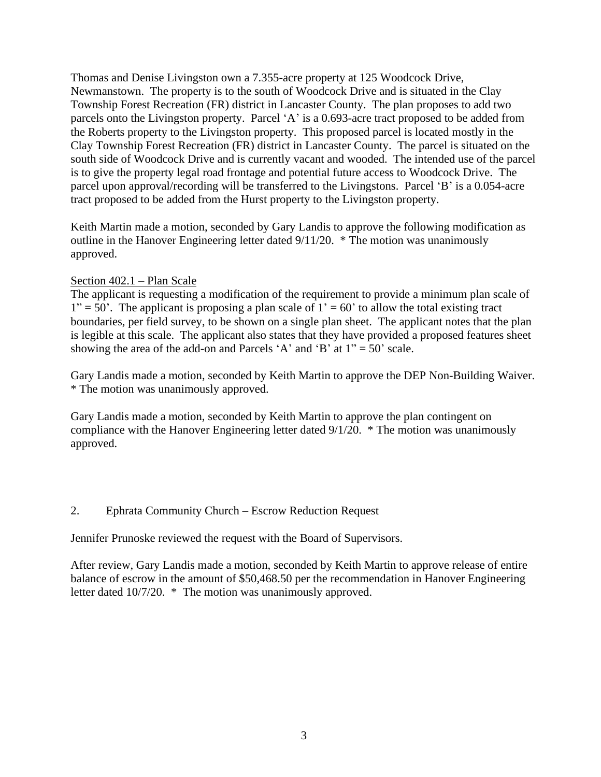Thomas and Denise Livingston own a 7.355-acre property at 125 Woodcock Drive, Newmanstown. The property is to the south of Woodcock Drive and is situated in the Clay Township Forest Recreation (FR) district in Lancaster County. The plan proposes to add two parcels onto the Livingston property. Parcel 'A' is a 0.693-acre tract proposed to be added from the Roberts property to the Livingston property. This proposed parcel is located mostly in the Clay Township Forest Recreation (FR) district in Lancaster County. The parcel is situated on the south side of Woodcock Drive and is currently vacant and wooded. The intended use of the parcel is to give the property legal road frontage and potential future access to Woodcock Drive. The parcel upon approval/recording will be transferred to the Livingstons. Parcel 'B' is a 0.054-acre tract proposed to be added from the Hurst property to the Livingston property.

Keith Martin made a motion, seconded by Gary Landis to approve the following modification as outline in the Hanover Engineering letter dated 9/11/20. \* The motion was unanimously approved.

## Section 402.1 – Plan Scale

The applicant is requesting a modification of the requirement to provide a minimum plan scale of  $1" = 50"$ . The applicant is proposing a plan scale of  $1' = 60"$  to allow the total existing tract boundaries, per field survey, to be shown on a single plan sheet. The applicant notes that the plan is legible at this scale. The applicant also states that they have provided a proposed features sheet showing the area of the add-on and Parcels 'A' and 'B' at  $1" = 50'$  scale.

Gary Landis made a motion, seconded by Keith Martin to approve the DEP Non-Building Waiver. \* The motion was unanimously approved.

Gary Landis made a motion, seconded by Keith Martin to approve the plan contingent on compliance with the Hanover Engineering letter dated 9/1/20. \* The motion was unanimously approved.

# 2. Ephrata Community Church – Escrow Reduction Request

Jennifer Prunoske reviewed the request with the Board of Supervisors.

After review, Gary Landis made a motion, seconded by Keith Martin to approve release of entire balance of escrow in the amount of \$50,468.50 per the recommendation in Hanover Engineering letter dated 10/7/20. \* The motion was unanimously approved.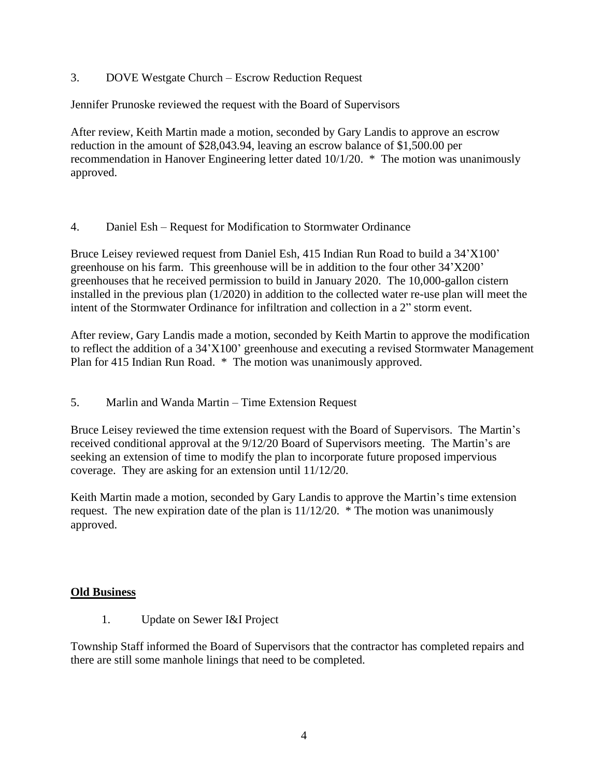# 3. DOVE Westgate Church – Escrow Reduction Request

Jennifer Prunoske reviewed the request with the Board of Supervisors

After review, Keith Martin made a motion, seconded by Gary Landis to approve an escrow reduction in the amount of \$28,043.94, leaving an escrow balance of \$1,500.00 per recommendation in Hanover Engineering letter dated 10/1/20. \* The motion was unanimously approved.

## 4. Daniel Esh – Request for Modification to Stormwater Ordinance

Bruce Leisey reviewed request from Daniel Esh, 415 Indian Run Road to build a 34'X100' greenhouse on his farm. This greenhouse will be in addition to the four other 34'X200' greenhouses that he received permission to build in January 2020. The 10,000-gallon cistern installed in the previous plan (1/2020) in addition to the collected water re-use plan will meet the intent of the Stormwater Ordinance for infiltration and collection in a 2" storm event.

After review, Gary Landis made a motion, seconded by Keith Martin to approve the modification to reflect the addition of a 34'X100' greenhouse and executing a revised Stormwater Management Plan for 415 Indian Run Road. \* The motion was unanimously approved.

## 5. Marlin and Wanda Martin – Time Extension Request

Bruce Leisey reviewed the time extension request with the Board of Supervisors. The Martin's received conditional approval at the 9/12/20 Board of Supervisors meeting. The Martin's are seeking an extension of time to modify the plan to incorporate future proposed impervious coverage. They are asking for an extension until 11/12/20.

Keith Martin made a motion, seconded by Gary Landis to approve the Martin's time extension request. The new expiration date of the plan is  $11/12/20$ . \* The motion was unanimously approved.

## **Old Business**

1. Update on Sewer I&I Project

Township Staff informed the Board of Supervisors that the contractor has completed repairs and there are still some manhole linings that need to be completed.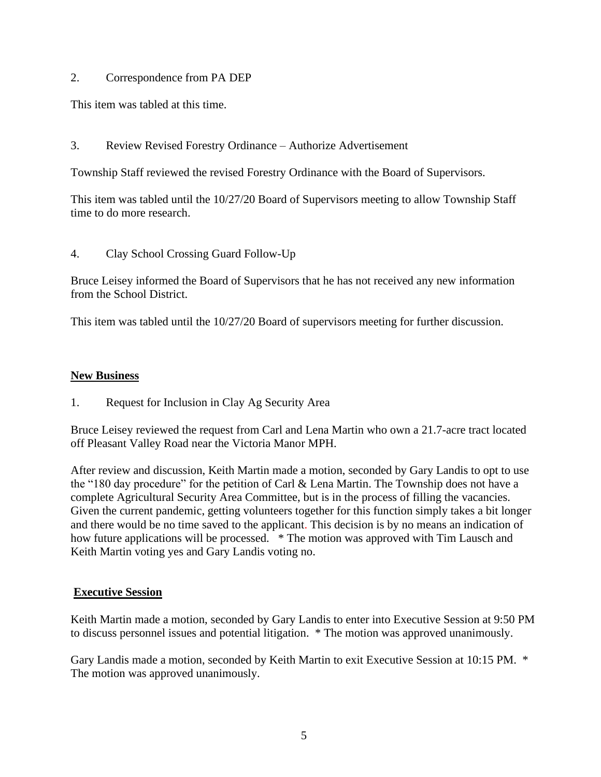## 2. Correspondence from PA DEP

This item was tabled at this time.

3. Review Revised Forestry Ordinance – Authorize Advertisement

Township Staff reviewed the revised Forestry Ordinance with the Board of Supervisors.

This item was tabled until the 10/27/20 Board of Supervisors meeting to allow Township Staff time to do more research.

4. Clay School Crossing Guard Follow-Up

Bruce Leisey informed the Board of Supervisors that he has not received any new information from the School District.

This item was tabled until the 10/27/20 Board of supervisors meeting for further discussion.

## **New Business**

1. Request for Inclusion in Clay Ag Security Area

Bruce Leisey reviewed the request from Carl and Lena Martin who own a 21.7-acre tract located off Pleasant Valley Road near the Victoria Manor MPH.

After review and discussion, Keith Martin made a motion, seconded by Gary Landis to opt to use the "180 day procedure" for the petition of Carl & Lena Martin. The Township does not have a complete Agricultural Security Area Committee, but is in the process of filling the vacancies. Given the current pandemic, getting volunteers together for this function simply takes a bit longer and there would be no time saved to the applicant. This decision is by no means an indication of how future applications will be processed. \* The motion was approved with Tim Lausch and Keith Martin voting yes and Gary Landis voting no.

## **Executive Session**

Keith Martin made a motion, seconded by Gary Landis to enter into Executive Session at 9:50 PM to discuss personnel issues and potential litigation. \* The motion was approved unanimously.

Gary Landis made a motion, seconded by Keith Martin to exit Executive Session at 10:15 PM. \* The motion was approved unanimously.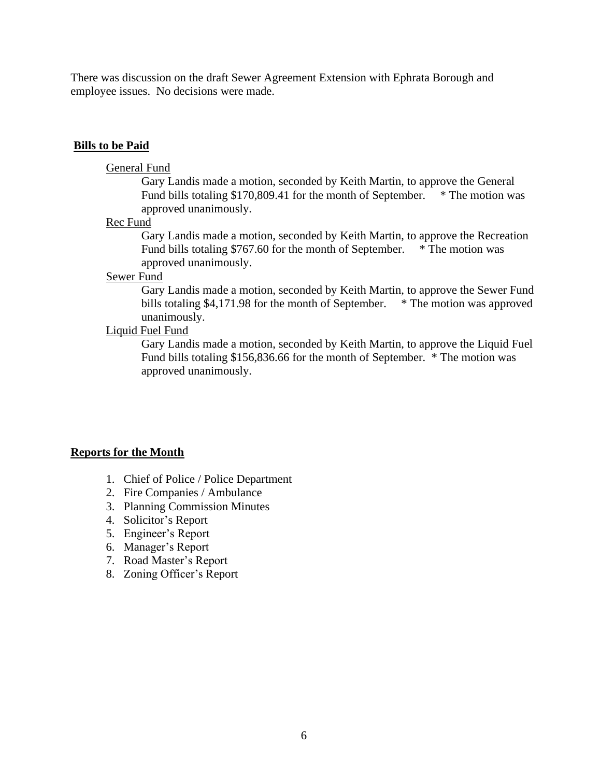There was discussion on the draft Sewer Agreement Extension with Ephrata Borough and employee issues. No decisions were made.

#### **Bills to be Paid**

#### General Fund

Gary Landis made a motion, seconded by Keith Martin, to approve the General Fund bills totaling  $$170,809.41$  for the month of September. \* The motion was approved unanimously.

Rec Fund

Gary Landis made a motion, seconded by Keith Martin, to approve the Recreation Fund bills totaling \$767.60 for the month of September. \* The motion was approved unanimously.

#### Sewer Fund

Gary Landis made a motion, seconded by Keith Martin, to approve the Sewer Fund bills totaling \$4,171.98 for the month of September. \* The motion was approved unanimously.

## Liquid Fuel Fund

Gary Landis made a motion, seconded by Keith Martin, to approve the Liquid Fuel Fund bills totaling \$156,836.66 for the month of September. \* The motion was approved unanimously.

#### **Reports for the Month**

- 1. Chief of Police / Police Department
- 2. Fire Companies / Ambulance
- 3. Planning Commission Minutes
- 4. Solicitor's Report
- 5. Engineer's Report
- 6. Manager's Report
- 7. Road Master's Report
- 8. Zoning Officer's Report